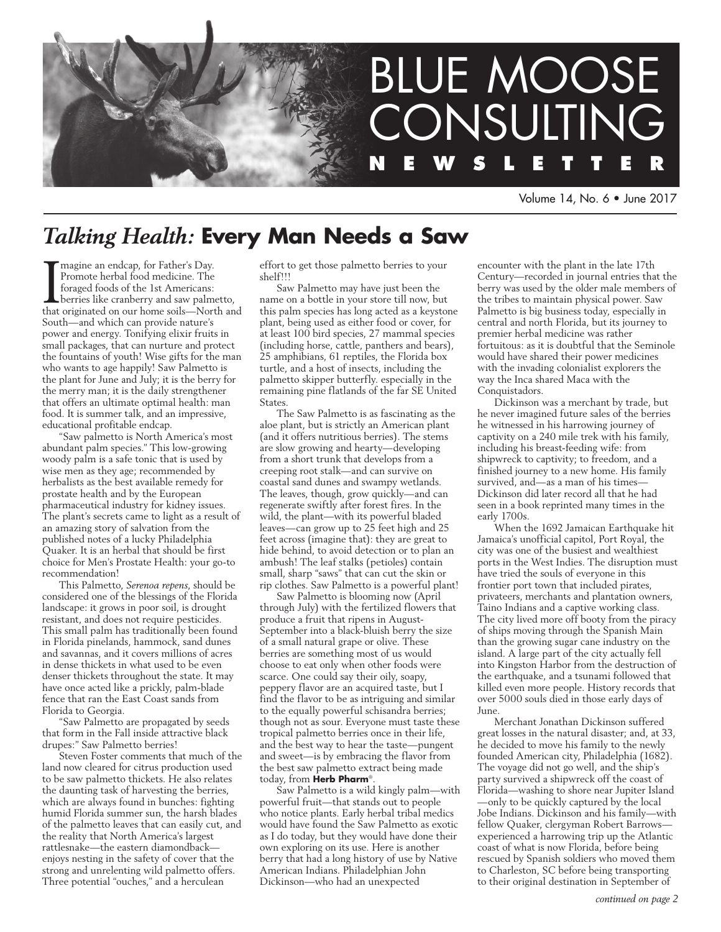

Volume 14, No. 6 • June 2017

# *Talking Health:* **Every Man Needs a Saw**

Imagine an endcap, for Father's Day.<br>Promote herbal food medicine. The<br>foraged foods of the 1st Americans:<br>berries like cranberry and saw palmetto,<br>that originated on our home soils—North and magine an endcap, for Father's Day. Promote herbal food medicine. The foraged foods of the 1st Americans: berries like cranberry and saw palmetto, South—and which can provide nature's power and energy. Tonifying elixir fruits in small packages, that can nurture and protect the fountains of youth! Wise gifts for the man who wants to age happily! Saw Palmetto is the plant for June and July; it is the berry for the merry man; it is the daily strengthener that offers an ultimate optimal health: man food. It is summer talk, and an impressive, educational profitable endcap.

"Saw palmetto is North America's most abundant palm species." This low-growing woody palm is a safe tonic that is used by wise men as they age; recommended by herbalists as the best available remedy for prostate health and by the European pharmaceutical industry for kidney issues. The plant's secrets came to light as a result of an amazing story of salvation from the published notes of a lucky Philadelphia Quaker. It is an herbal that should be first choice for Men's Prostate Health: your go-to recommendation!

This Palmetto, *Serenoa repens*, should be considered one of the blessings of the Florida landscape: it grows in poor soil, is drought resistant, and does not require pesticides. This small palm has traditionally been found in Florida pinelands, hammock, sand dunes and savannas, and it covers millions of acres in dense thickets in what used to be even denser thickets throughout the state. It may have once acted like a prickly, palm-blade fence that ran the East Coast sands from Florida to Georgia.

"Saw Palmetto are propagated by seeds that form in the Fall inside attractive black drupes:" Saw Palmetto berries!

Steven Foster comments that much of the land now cleared for citrus production used to be saw palmetto thickets. He also relates the daunting task of harvesting the berries, which are always found in bunches: fighting humid Florida summer sun, the harsh blades of the palmetto leaves that can easily cut, and the reality that North America's largest rattlesnake—the eastern diamondback enjoys nesting in the safety of cover that the strong and unrelenting wild palmetto offers. Three potential "ouches," and a herculean

effort to get those palmetto berries to your shelf!!!

Saw Palmetto may have just been the name on a bottle in your store till now, but this palm species has long acted as a keystone plant, being used as either food or cover, for at least 100 bird species, 27 mammal species (including horse, cattle, panthers and bears), 25 amphibians, 61 reptiles, the Florida box turtle, and a host of insects, including the palmetto skipper butterfly. especially in the remaining pine flatlands of the far SE United **States**.

The Saw Palmetto is as fascinating as the aloe plant, but is strictly an American plant (and it offers nutritious berries). The stems are slow growing and hearty—developing from a short trunk that develops from a creeping root stalk—and can survive on coastal sand dunes and swampy wetlands. The leaves, though, grow quickly—and can regenerate swiftly after forest fires. In the wild, the plant—with its powerful bladed leaves—can grow up to 25 feet high and 25 feet across (imagine that): they are great to hide behind, to avoid detection or to plan an ambush! The leaf stalks (petioles) contain small, sharp "saws" that can cut the skin or rip clothes. Saw Palmetto is a powerful plant!

Saw Palmetto is blooming now (April through July) with the fertilized flowers that produce a fruit that ripens in August-September into a black-bluish berry the size of a small natural grape or olive. These berries are something most of us would choose to eat only when other foods were scarce. One could say their oily, soapy, peppery flavor are an acquired taste, but I find the flavor to be as intriguing and similar to the equally powerful schisandra berries; though not as sour. Everyone must taste these tropical palmetto berries once in their life, and the best way to hear the taste—pungent and sweet—is by embracing the flavor from the best saw palmetto extract being made today, from **Herb Pharm**®.

Saw Palmetto is a wild kingly palm—with powerful fruit—that stands out to people who notice plants. Early herbal tribal medics would have found the Saw Palmetto as exotic as I do today, but they would have done their own exploring on its use. Here is another berry that had a long history of use by Native American Indians. Philadelphian John Dickinson—who had an unexpected

encounter with the plant in the late 17th Century—recorded in journal entries that the berry was used by the older male members of the tribes to maintain physical power. Saw Palmetto is big business today, especially in central and north Florida, but its journey to premier herbal medicine was rather fortuitous: as it is doubtful that the Seminole would have shared their power medicines with the invading colonialist explorers the way the Inca shared Maca with the Conquistadors.

Dickinson was a merchant by trade, but he never imagined future sales of the berries he witnessed in his harrowing journey of captivity on a 240 mile trek with his family, including his breast-feeding wife: from shipwreck to captivity; to freedom, and a finished journey to a new home. His family survived, and—as a man of his times— Dickinson did later record all that he had seen in a book reprinted many times in the early 1700s.

When the 1692 Jamaican Earthquake hit Jamaica's unofficial capitol, Port Royal, the city was one of the busiest and wealthiest ports in the West Indies. The disruption must have tried the souls of everyone in this frontier port town that included pirates, privateers, merchants and plantation owners, Taino Indians and a captive working class. The city lived more off booty from the piracy of ships moving through the Spanish Main than the growing sugar cane industry on the island. A large part of the city actually fell into Kingston Harbor from the destruction of the earthquake, and a tsunami followed that killed even more people. History records that over 5000 souls died in those early days of J<sub>11</sub>ne.

Merchant Jonathan Dickinson suffered great losses in the natural disaster; and, at 33, he decided to move his family to the newly founded American city, Philadelphia (1682). The voyage did not go well, and the ship's party survived a shipwreck off the coast of Florida—washing to shore near Jupiter Island —only to be quickly captured by the local Jobe Indians. Dickinson and his family—with fellow Quaker, clergyman Robert Barrows experienced a harrowing trip up the Atlantic coast of what is now Florida, before being rescued by Spanish soldiers who moved them to Charleston, SC before being transporting to their original destination in September of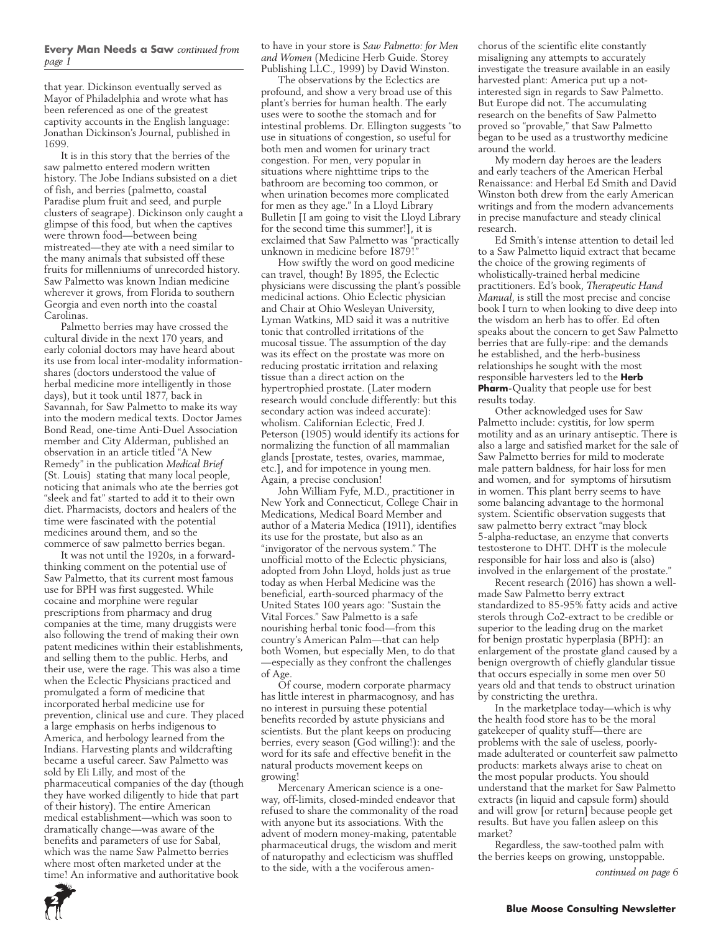### **Every Man Needs a Saw** *continued from page 1*

that year. Dickinson eventually served as Mayor of Philadelphia and wrote what has been referenced as one of the greatest captivity accounts in the English language: Jonathan Dickinson's Journal, published in 1699.

It is in this story that the berries of the saw palmetto entered modern written history. The Jobe Indians subsisted on a diet of fish, and berries (palmetto, coastal Paradise plum fruit and seed, and purple clusters of seagrape). Dickinson only caught a glimpse of this food, but when the captives were thrown food—between being mistreated—they ate with a need similar to the many animals that subsisted off these fruits for millenniums of unrecorded history. Saw Palmetto was known Indian medicine wherever it grows, from Florida to southern Georgia and even north into the coastal Carolinas.

Palmetto berries may have crossed the cultural divide in the next 170 years, and early colonial doctors may have heard about its use from local inter-modality informationshares (doctors understood the value of herbal medicine more intelligently in those days), but it took until 1877, back in Savannah, for Saw Palmetto to make its way into the modern medical texts. Doctor James Bond Read, one-time Anti-Duel Association member and City Alderman, published an observation in an article titled "A New Remedy" in the publication *Medical Brief* (St. Louis) stating that many local people, noticing that animals who ate the berries got "sleek and fat" started to add it to their own diet. Pharmacists, doctors and healers of the time were fascinated with the potential medicines around them, and so the commerce of saw palmetto berries began.

It was not until the 1920s, in a forwardthinking comment on the potential use of Saw Palmetto, that its current most famous use for BPH was first suggested. While cocaine and morphine were regular prescriptions from pharmacy and drug companies at the time, many druggists were also following the trend of making their own patent medicines within their establishments, and selling them to the public. Herbs, and their use, were the rage. This was also a time when the Eclectic Physicians practiced and promulgated a form of medicine that incorporated herbal medicine use for prevention, clinical use and cure. They placed a large emphasis on herbs indigenous to America, and herbology learned from the Indians. Harvesting plants and wildcrafting became a useful career. Saw Palmetto was sold by Eli Lilly, and most of the pharmaceutical companies of the day (though they have worked diligently to hide that part of their history). The entire American medical establishment—which was soon to dramatically change—was aware of the benefits and parameters of use for Sabal, which was the name Saw Palmetto berries where most often marketed under at the time! An informative and authoritative book

to have in your store is *Saw Palmetto: for Men and Women* (Medicine Herb Guide. Storey Publishing LLC., 1999) by David Winston.

The observations by the Eclectics are profound, and show a very broad use of this plant's berries for human health. The early uses were to soothe the stomach and for intestinal problems. Dr. Ellington suggests "to use in situations of congestion, so useful for both men and women for urinary tract congestion. For men, very popular in situations where nighttime trips to the bathroom are becoming too common, or when urination becomes more complicated for men as they age." In a Lloyd Library Bulletin [I am going to visit the Lloyd Library for the second time this summer!], it is exclaimed that Saw Palmetto was "practically unknown in medicine before 1879!"

How swiftly the word on good medicine can travel, though! By 1895, the Eclectic physicians were discussing the plant's possible medicinal actions. Ohio Eclectic physician and Chair at Ohio Wesleyan University, Lyman Watkins, MD said it was a nutritive tonic that controlled irritations of the mucosal tissue. The assumption of the day was its effect on the prostate was more on reducing prostatic irritation and relaxing tissue than a direct action on the hypertrophied prostate. (Later modern research would conclude differently: but this secondary action was indeed accurate): wholism. Californian Eclectic, Fred J. Peterson (1905) would identify its actions for normalizing the function of all mammalian glands [prostate, testes, ovaries, mammae, etc.], and for impotence in young men. Again, a precise conclusion!

John William Fyfe, M.D., practitioner in New York and Connecticut, College Chair in Medications, Medical Board Member and author of a Materia Medica (1911), identifies its use for the prostate, but also as an "invigorator of the nervous system." The unofficial motto of the Eclectic physicians, adopted from John Lloyd, holds just as true today as when Herbal Medicine was the beneficial, earth-sourced pharmacy of the United States 100 years ago: "Sustain the Vital Forces." Saw Palmetto is a safe nourishing herbal tonic food—from this country's American Palm—that can help both Women, but especially Men, to do that —especially as they confront the challenges of Age.

Of course, modern corporate pharmacy has little interest in pharmacognosy, and has no interest in pursuing these potential benefits recorded by astute physicians and scientists. But the plant keeps on producing berries, every season (God willing!): and the word for its safe and effective benefit in the natural products movement keeps on growing!

Mercenary American science is a oneway, off-limits, closed-minded endeavor that refused to share the commonality of the road with anyone but its associations. With the advent of modern money-making, patentable pharmaceutical drugs, the wisdom and merit of naturopathy and eclecticism was shuffled to the side, with a the vociferous amenchorus of the scientific elite constantly misaligning any attempts to accurately investigate the treasure available in an easily harvested plant: America put up a notinterested sign in regards to Saw Palmetto. But Europe did not. The accumulating research on the benefits of Saw Palmetto proved so "provable," that Saw Palmetto began to be used as a trustworthy medicine around the world.

My modern day heroes are the leaders and early teachers of the American Herbal Renaissance: and Herbal Ed Smith and David Winston both drew from the early American writings and from the modern advancements in precise manufacture and steady clinical research.

Ed Smith's intense attention to detail led to a Saw Palmetto liquid extract that became the choice of the growing regiments of wholistically-trained herbal medicine practitioners. Ed's book, *Therapeutic Hand Manual*, is still the most precise and concise book I turn to when looking to dive deep into the wisdom an herb has to offer. Ed often speaks about the concern to get Saw Palmetto berries that are fully-ripe: and the demands he established, and the herb-business relationships he sought with the most responsible harvesters led to the **Herb Pharm**-Quality that people use for best results today.

Other acknowledged uses for Saw Palmetto include: cystitis, for low sperm motility and as an urinary antiseptic. There is also a large and satisfied market for the sale of Saw Palmetto berries for mild to moderate male pattern baldness, for hair loss for men and women, and for symptoms of hirsutism in women. This plant berry seems to have some balancing advantage to the hormonal system. Scientific observation suggests that saw palmetto berry extract "may block 5-alpha-reductase, an enzyme that converts testosterone to DHT. DHT is the molecule responsible for hair loss and also is (also) involved in the enlargement of the prostate."

Recent research (2016) has shown a wellmade Saw Palmetto berry extract standardized to 85-95% fatty acids and active sterols through Co2-extract to be credible or superior to the leading drug on the market for benign prostatic hyperplasia (BPH): an enlargement of the prostate gland caused by a benign overgrowth of chiefly glandular tissue that occurs especially in some men over 50 years old and that tends to obstruct urination by constricting the urethra.

In the marketplace today—which is why the health food store has to be the moral gatekeeper of quality stuff—there are problems with the sale of useless, poorlymade adulterated or counterfeit saw palmetto products: markets always arise to cheat on the most popular products. You should understand that the market for Saw Palmetto extracts (in liquid and capsule form) should and will grow [or return] because people get results. But have you fallen asleep on this market?

Regardless, the saw-toothed palm with the berries keeps on growing, unstoppable.

*continued on page 6*

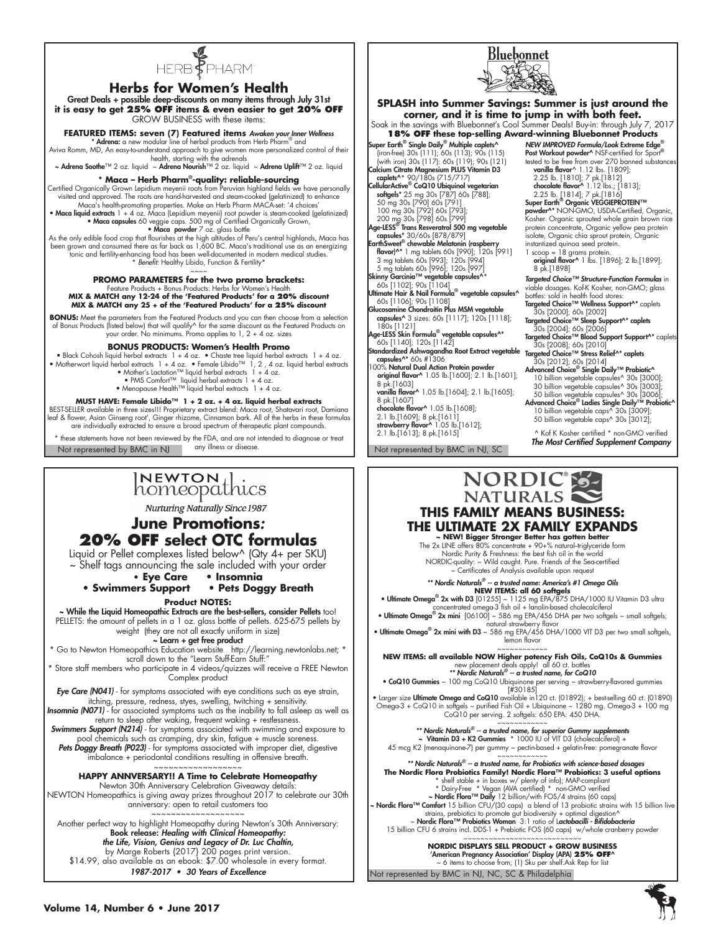

### **Herbs for Women's Health**

Great Deals + possible deep-discounts on many items through July 31st **it is easy to get 25% OFF items & even easier to get 20% OFF** GROW BUSINESS with these items:

### **FEATURED ITEMS: seven (7) Featured items** *Awaken your Inner Wellness*

\* Adrena: a new modular line of herbal products from Herb Pharm® and Aviva Romm, MD, An easy-to-understand approach to give women more personalized control of their health, starting with the adrenals

Adrena Soothe™ 2 oz. liquid ~ Adrena Nourish™ 2 oz. liquid ~ Adrena Uplift™ 2 oz. liquid

### **\* Maca – Herb Pharm®-quality: reliable-sourcing**

Certified Organically Grown Lepidium meyenii roots from Peruvian highland fields we have personally<br>visited and approved. The roots are hand-harvested and steam-cooked (gelatinized) to enhance<br>Maca's health-promoting prope

• Maca liquid extracts 1 + 4 oz. Maca (Lepidium meyenii) root powder is steam-cooked (gelatinized) • Maca capsules 60 veggie caps. 500 mg of Certified Organically Grown, • Maca powder 7 oz. glass bottle

As the only edible food crop that flourishes at the high altitudes of Peru's central highlands, Maca has been grown and consumed there as far back as 1,600 BC. Maca's traditional use as an energizing tonic and fertility-enhancing food has been well-documented in modern medical studies. \* *Benefit:* Healthy Libido, Function & Fertility\*

# ~~~~ **PROMO PARAMETERS for the two promo brackets:** Feature Products + Bonus Products: Herbs for Women's Health **MIX & MATCH any 12-24 of the 'Featured Products' for a 20% discount MIX & MATCH any 25 + of the 'Featured Products' for a 25% discount**

**BONUS:** Meet the parameters from the Featured Products and you can then choose from a selection of Bonus Products (listed below) that will qualify^ for the same discount as the Featured Products on your order. No minimums. Promo applies to 1, 2 + 4 oz. sizes

#### **BONUS PRODUCTS: Women's Health Promo**

• Black Cohosh liquid herbal extracts 1 + 4 oz. • Chaste tree liquid herbal extracts 1 + 4 oz. • Motherwort liquid herbal extracts 1 + 4 oz. • Female Libido™ 1, 2 , 4 oz. liquid herbal extracts

• Mother's Lactation™ liquid herbal extracts 1 + 4 oz.<br>• PMS Comfort™ liquid herbal extracts 1 + 4 oz.<br>• Menopause Health™ liquid herbal extracts 1 + 4 oz.

**MUST HAVE: Female Libido™ 1 + 2 oz. + 4 oz. liquid herbal extracts**  BEST-SELLER available in three sizes!!! Proprietary extract blend: Maca root, Shatavari root, Damiana

leaf & flower, Asian Ginseng root', Ginger rhizome, Cinnamon bark. All of the herbs in these formulas are individually extracted to ensure a broad spectrum of therapeutic plant compounds.

Not represented by BMC in NJ any illness or disease. Not represented by BMC in NJ, SC these statements have not been reviewed by the FDA, and are not intended to diagnose or treat any illness or disease.

# $\lvert \textsf{NEWTON} \rvert \rvert$ homeopathics

**Nurturing Naturally Since 1987** 

# **June Promotions***:*  **20% OFF select OTC formulas**

Liquid or Pellet complexes listed below^ (Qty 4+ per SKU) ~ Shelf tags announcing the sale included with your order

**• Eye Care • Insomnia**

**• Swimmers Support** 

**Product NOTES:**

~ While the Liquid Homeopathic Extracts are the best-sellers, consider Pellets too! PELLETS: the amount of pellets in a 1 oz. glass bottle of pellets. 625-675 pellets by weight (they are not all exactly uniform in size)

### ~ Learn + get free product

\* Go to Newton Homeopathics Education website http://learning.newtonlabs.net; \* scroll down to the "Learn Stuff-Earn Stuff:"

\* Store staff members who participate in 4 videos/quizzes will receive a FREE Newton Complex product

*Eye Care (N041)* - for symptoms associated with eye conditions such as eye strain, itching, pressure, redness, styes, swelling, twitching + sensitivity. *Insomnia (N071)* - for associated symptoms such as the inability to fall asleep as well as

return to sleep after waking, frequent waking + restlessness. *Swimmers Support (N214)* - for symptoms associated with swimming and exposure to

pool chemicals such as cramping, dry skin, fatigue + muscle sorenes. Pets Doggy Breath (P023) - for symptoms associated with improper diet, digestive imbalance + periodontal conditions resulting in offensive breath.

~~~~~~~~~~~~~~~~~~ **HAPPY ANNVERSARY!! A Time to Celebrate Homeopathy**

Newton 30th Anniversary Celebration Giveaway details: NEWTON Homeopathics is giving away prizes throughout 2017 to celebrate our 30th anniversary: open to retail customers too

~~~~~~~~~~~~~~~~~~~ Another perfect way to highlight Homeopathy during Newton's 30th Anniversary: Book release: *Healing with Clinical Homeopathy: the Life, Vision, Genius and Legacy of Dr. Luc Chaltin,* by Marge Roberts {2017} 200 pages print version. \$14.99, also available as an ebook: \$7.00 wholesale in every format. 1987-2017 • 30 Years of Excellence



Bluebonnet



# **THIS FAMILY MEANS BUSINESS: THE ULTIMATE 2X FAMILY EXPANDS**

**~ NEW! Bigger Stronger Better has gotten better** The 2x LINE offers 80% concentrate + 90+% natural--triglyceride form Nordic Purity & Freshness: the best fish oil in the world NORDIC-quality: ~ Wild caught. Pure. Friends of the Sea-certified ~ Certificates of Analysis available upon request

*\*\* Nordic Naturals® -- a trusted name: America's #1 Omega Oils*

**NEW ITEMS: all 60 softgels<br>• Ultimate Omega<sup>®</sup> 2x with D3 [01255] ~ 1125 mg EPA/875 DHA/1000 IU Vitamin D3 ultra<br>concentrated omega-3 fish oil + lanolin-based cholecalciferol** 

• Ultimate Omega® 2x mini  $[06100] \sim 586$  mg EPA/456 DHA per two softgels ~ small softgels;<br>• Ultimate Omega® 2x mini with D3 ~ 586 mg EPA/456 DHA/1000 VIT D3 per two small softgels, lemon flavor

~~~~~~~~~~~~ **NEW ITEMS: all available NOW Higher potency Fish Oils, CoQ10s & Gummies**

new placement deals apply! all 60 ct. bottles *\*\* Nordic Naturals® -- a trusted name, for CoQ10*

• CoQ10 Gummies ~ 100 mg CoQ10 Ubiquinone per serving ~ strawberry-flavored gummies [#30185]

• Larger size Ultimate Omega and CoQ10 available in120 ct. (01892); + best-selling 60 ct. (01890) Omega-3 + CoQ10 in softgels ~ purified Fish Oil + Ubiquinone ~ 1280 mg. Omega-3 + 100 mg CoQ10 per serving. 2 softgels: 650 EPA: 450 DHA.

~~~~~~~~~~~~ *\*\* Nordic Naturals® -- a trusted name, for superior Gummy supplements* ~ Vitamin D3 + K2 Gummies \* 1000 IU of VIT D3 (cholecalciferol) +

45 mcg K2 (menaquinone-7) per gummy ~ pectin-based + gelatin-free: pomegranate flavor

~~~~~~~~~~~~  *\*\* Nordic Naturals® -- a trusted name, for Probiotics with science-based dosages*

The Nordic Flora Probiotics Family! Nordic Flora™ Probiotics: 3 useful options<br>
\* shelf stoble + in boxes w/ plenty of info]; MAP-compliant<br>
\* Dairy-Free \* Vegan (AVA certified) \* non-GMO verified<br>
~ Nordic Flora™ Daily strains, prebiotics to promote gut biodiversity + optimal digestion^<br>Nordic Flora™ Probiotics Woman 3: 1 ratio of Lactobacilli - Bifidobacteria ~<br>15 billion CFU 6 strains incl. DDS-1 + Prebiotic FOS (60 caps) w/whole cran

~~~~~~~~~~~~~~~~~~~~~~~~~~~~ **NORDIC DISPLAYS SELL PRODUCT + GROW BUSINESS**

'American Pregnancy Association' Display (APA) **25% OFF**^

Not represented by BMC in NJ, NC, SC & Philadelphia ~ 6 items to choose from; (1) Sku per shelf.Ask Rep for list

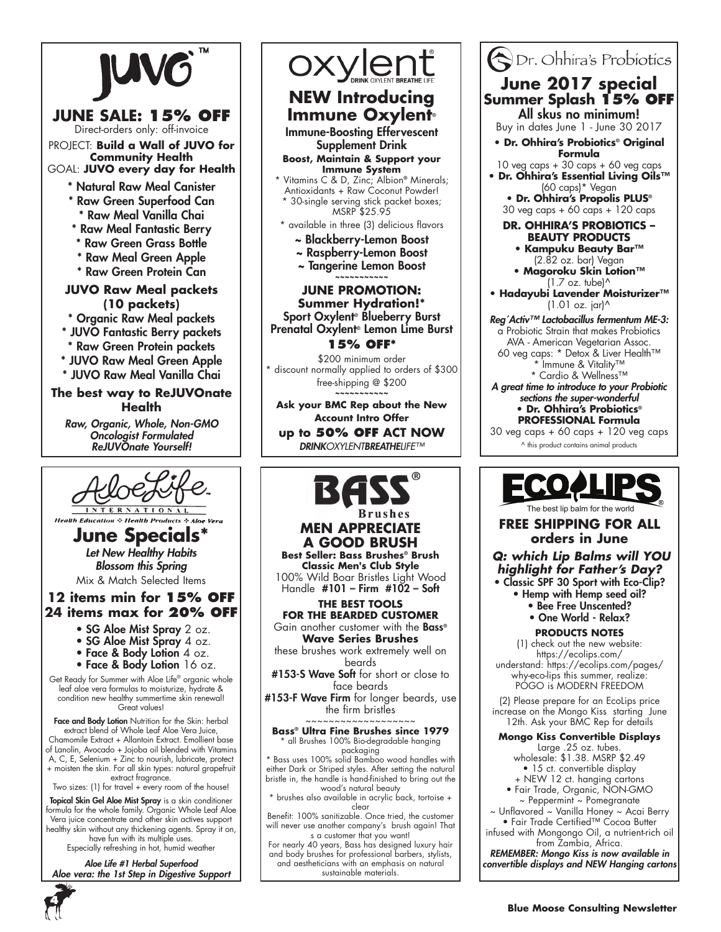

# **JUNE SALE: 15% OFF**

Direct-orders only: off-invoice PROJECT: **Build a Wall of JUVO for Community Health** GOAL: **JUVO every day for Health**

- \* Natural Raw Meal Canister
- \* Raw Green Superfood Can Raw Meal Vanilla Chai
- \* Raw Meal Fantastic Berry
- \* Raw Green Grass Bottle
- \* Raw Meal Green Apple
- \* Raw Green Protein Can

# **JUVO Raw Meal packets (10 packets)**

\* Organic Raw Meal packets

- \* JUVO Fantastic Berry packets
- \* Raw Green Protein packets
- \* JUVO Raw Meal Green Apple
- \* JUVO Raw Meal Vanilla Chai

### **The best way to ReJUVOnate Health**

*Raw, Organic, Whole, Non-GMO Oncologist Formulated* ReJUVOnate Yourself!



**Health Education & Health Product** 

**June Specials\*** *Let New Healthy Habits Blossom this Spring* Mix & Match Selected Items

# **12 items min for 15% off 24 items max for 20% off**

- SG Aloe Mist Spray 2 oz.
- SG Aloe Mist Spray 4 oz.
- Face & Body Lotion 4 oz.
- Face & Body Lotion 16 oz.

Get Ready for Summer with Aloe Life® organic whole leaf aloe vera formulas to moisturize, hydrate & condition new healthy summertime skin renewal! Great values!

**Face and Body Lotion** Nutrition for the Skin: herbal extract blend of Whole Leaf Aloe Vera Juice, Chamomile Extract + Allantoin Extract. Emollient base of Lanolin, Avocado + Jojoba oil blended with Vitamins A, C, E, Selenium + Zinc to nourish, lubricate, protect + moisten the skin. For all skin types: natural grapefruit extract fragrance.

Two sizes: (1) for travel + every room of the house!

Topical Skin Gel Aloe Mist Spray is a skin conditioner formula for the whole family. Organic Whole Leaf Aloe Vera juice concentrate and other skin actives support healthy skin without any thickening agents. Spray it on, have fun with its multiple uses.

Especially refreshing in hot, humid weather

*Aloe Life #1 Herbal Superfood Aloe vera: the 1st Step in Digestive Support*



# OXYLON BREATH **NEW Introducing**

# **Immune Oxylent**® Immune-Boosting Effervescent

Supplement Drink

### **Boost, Maintain & Support your Immune System**

- \* Vitamins C & D, Zinc; Albion® Minerals; Antioxidants + Raw Coconut Powder! \* 30-single serving stick packet boxes;
- MSRP \$25.95
- \* available in three (3) delicious flavors
	- ~ Blackberry-Lemon Boost
	- ~ Raspberry-Lemon Boost
	- ~ Tangerine Lemon Boost **~~~~~~~~~~~**

### **JUNE Promotion: Summer Hydration!\*** Sport Oxylent® Blueberry Burst Prenatal Oxylent® Lemon Lime Burst **15% OFF\***

\$200 minimum order \* discount normally applied to orders of \$300 free-shipping @ \$200 **~~~~~~~~~~~**

**Ask your BMC Rep about the New Account Intro Offer up to 50% OFF ACT NOW** *DRINKOXYLENTBREATHELIFE™*



### Dr. Ohhira's Probiotics **June 2017 special Summer Splash 15% OFF**  All skus no minimum! Buy in dates June 1 - June 30 2017 **• Dr. Ohhira's Probiotics® Original Formula** 10 veg caps + 30 caps + 60 veg caps **• Dr. Ohhira's Essential Living Oils™**  (60 caps)\* Vegan **• Dr. Ohhira's Propolis PLUS®** 30 veg caps + 60 caps + 120 caps **Dr. Ohhira's Probiotics – Beauty Products • Kampuku Beauty Bar™**  (2.82 oz. bar) Vegan **• Magoroku Skin Lotion™**  (1.7 oz. tube)^ **• Hadayubi Lavender Moisturizer™**  (1.01 oz. jar)^ *Reg´Activ™ Lactobacillus fermentum ME-3:* a Probiotic Strain that makes Probiotics AVA - American Vegetarian Assoc. 60 veg caps: \* Detox & Liver Health™ \* Immune & Vitality™ \* Cardio & Wellness™ *A great time to introduce to your Probiotic sections the super-wonderful* **• Dr. Ohhira's Probiotics® PROFESSIONAL Formula**  $30$  veg caps +  $60$  caps +  $120$  veg caps ^ this product contains animal products



# **FREE SHIPPING FOR ALL orders in June**

*Q: which Lip Balms will YOU highlight for Father's Day?* • Classic SPF 30 Sport with Eco-Clip?

- Hemp with Hemp seed oil?
	- Bee Free Unscented?
	- One World Relax?

### **PRODUCTS NOTES**

(1) check out the new website: https://ecolips.com/ understand: https://ecolips.com/pages/ why-eco-lips this summer, realize: POGO is MODERN FREEDOM

(2) Please prepare for an EcoLips price increase on the Mongo Kiss starting June 12th. Ask your BMC Rep for details

### **Mongo Kiss Convertible Displays**

Large .25 oz. tubes. wholesale: \$1.38. MSRP \$2.49 • 15 ct. convertible display

- + NEW 12 ct. hanging cartons
- Fair Trade, Organic, NON-GMO ~ Peppermint ~ Pomegranate

~ Unflavored ~ Vanilla Honey ~ Acai Berry • Fair Trade Certified™ Cocoa Butter

infused with Mongongo Oil, a nutrient-rich oil from Zambia, Africa.

*REMEMBER: Mongo Kiss is now available in convertible displays and NEW Hanging cartons*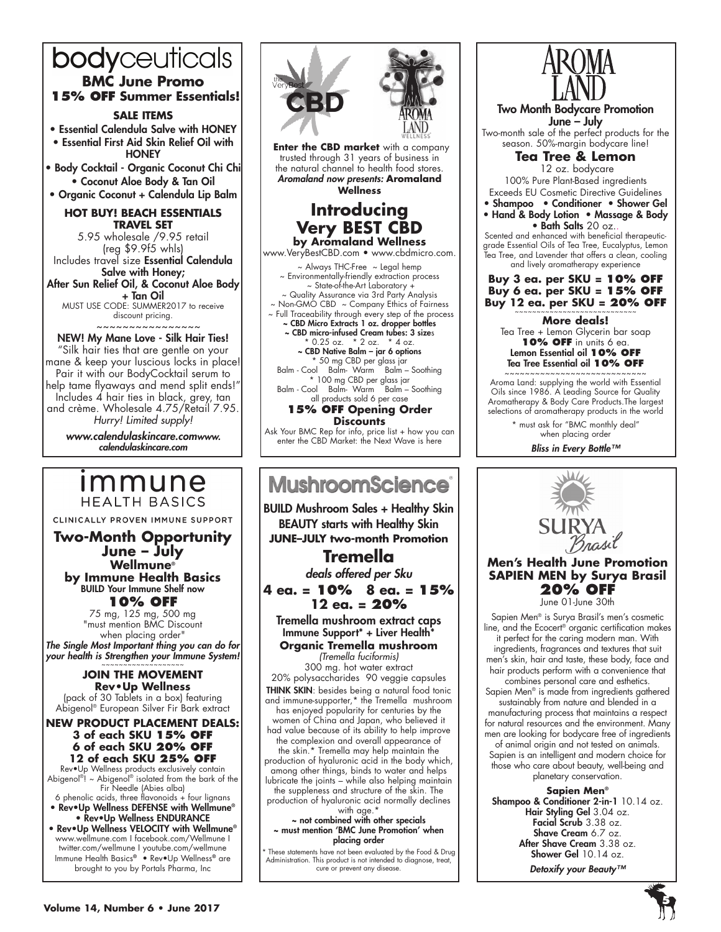# bodyceuticals **BMC June Promo 15% off Summer Essentials!**

### **Sale items**

• Essential Calendula Salve with HONEY • Essential First Aid Skin Relief Oil with **HONEY** 

• Body Cocktail - Organic Coconut Chi Chi • Coconut Aloe Body & Tan Oil

• Organic Coconut + Calendula Lip Balm

### **HOT BUY! Beach Essentials Travel Set**

5.95 wholesale /9.95 retail (reg \$9.9f5 whls) Includes travel size Essential Calendula Salve with Honey; After Sun Relief Oil, & Coconut Aloe Body + Tan Oil

MUST USE CODE: SUMMER2017 to receive discount pricing.  $~\sim~\sim~\sim~\sim~\sim~\sim~\sim~$ 

### NEW! My Mane Love - Silk Hair Ties! "Silk hair ties that are gentle on your mane & keep your luscious locks in place! Pair it with our BodyCocktail serum to help tame flyaways and mend split ends!" Includes 4 hair ties in black, grey, tan and crème. Wholesale 4.75/Retail 7.95. *Hurry! Limited supply!*

*www.calendulaskincare.comwww. calendulaskincare.com*

# *Immune* **HEALTH BASICS**

CLINICALLY PROVEN IMMUNE SUPPORT

**Two-Month Opportunity June – July Wellmune® by Immune Health Basics** BUILD Your Immune Shelf now **10% OFF**

75 mg, 125 mg, 500 mg "must mention BMC Discount when placing order"

*The Single Most Important thing you can do for*  your health is Strengthen your Immune System!

### **Join the movement Rev•Up Wellness** (pack of 30 Tablets in a box) featuring Abigenol® European Silver Fir Bark extract

**New Product Placement deals: 3 of each SKU 15% OFF 6 of each SKU 20% OFF 12 of each SKU 25% OFF**

Rev•Up Wellness products exclusively contain Abigenol®! ~ Abigenol® isolated from the bark of the Fir Needle (Abies alba)

6 phenolic acids, three flavonoids  $+$  four lignans • Rev•Up Wellness DEFENSE with Wellmune® • Rev•Up Wellness ENDURANCE

• Rev•Up Wellness VELOCITY with Wellmune® www.wellmune.com I facebook.com/Wellmune I twitter.com/wellmune I youtube.com/wellmune Immune Health Basics® • Rev•Up Wellness® are brought to you by Portals Pharma, Inc



**MushroomScience** 

BUILD Mushroom Sales + Healthy Skin BEAUTY starts with Healthy Skin **JUNE–JULY two-month Promotion** 

# **Tremella** *deals offered per Sku*

**4 ea. = 10% 8 ea. = 15% 12 ea. = 20%**

Tremella mushroom extract caps Immune Support\* + Liver Health\* **Organic Tremella mushroom** 

*(Tremella fuciformis)* 300 mg. hot water extract 20% polysaccharides 90 veggie capsules **THINK SKIN**: besides being a natural food tonic and immune-supporter,\* the Tremella mushroom has enjoyed popularity for centuries by the women of China and Japan, who believed it had value because of its ability to help improve the complexion and overall appearance of the skin.\* Tremella may help maintain the production of hyaluronic acid in the body which, among other things, binds to water and helps lubricate the joints – while also helping maintain the suppleness and structure of the skin. The production of hyaluronic acid normally declines

with age.\* ~ not combined with other specials ~ must mention 'BMC June Promotion' when placing order

These statements have not been evaluated by the Food & Drug Administration. This product is not intended to diagnose, treat, cure or prevent any disease.



Two Month Bodycare Promotion June – July Two-month sale of the perfect products for the season. 50%-margin bodycare line! **Tea Tree & Lemon** 12 oz. bodycare 100% Pure Plant-Based ingredients Exceeds EU Cosmetic Directive Guidelines • Shampoo • Conditioner • Shower Gel • Hand & Body Lotion • Massage & Body • Bath Salts 20 oz.. Scented and enhanced with beneficial therapeuticgrade Essential Oils of Tea Tree, Eucalyptus, Lemon Tea Tree, and Lavender that offers a clean, cooling and lively aromatherapy experience **Buy 3 ea. per SKU = 10% OFF Buy 6 ea. per SKU = 15% OFF Buy 12 ea. per SKU = 20% OFF More deals!** Tea Tree + Lemon Glycerin bar soap **10% OFF** in units 6 ea. Lemon Essential oil **10% OFF** Tea Tree Essential oil **10% OFF** ~~~~~~~~~~~~~~~~~~~~~~~~ Aroma Land: supplying the world with Essential Oils since 1986. A Leading Source for Quality Aromatherapy & Body Care Products.The largest selections of aromatherapy products in the world

\* must ask for "BMC monthly deal" when placing order

*Bliss in Every Bottle™*



# **Men's Health June Promotion SAPIEN MEN by Surya Brasil 20% OFF**

June 01-June 30th

Sapien Men® is Surya Brasil's men's cosmetic line, and the Ecocert® organic certification makes it perfect for the caring modern man. With ingredients, fragrances and textures that suit men's skin, hair and taste, these body, face and hair products perform with a convenience that combines personal care and esthetics. Sapien Men® is made from ingredients gathered sustainably from nature and blended in a manufacturing process that maintains a respect for natural resources and the environment. Many men are looking for bodycare free of ingredients of animal origin and not tested on animals. Sapien is an intelligent and modern choice for those who care about beauty, well-being and planetary conservation.

**Sapien Men®** Shampoo & Conditioner 2-in-1 10.14 oz. Hair Styling Gel 3.04 oz. Facial Scrub 3.38 oz. Shave Cream 6.7 oz. After Shave Cream 3.38 oz. Shower Gel 10.14 oz.

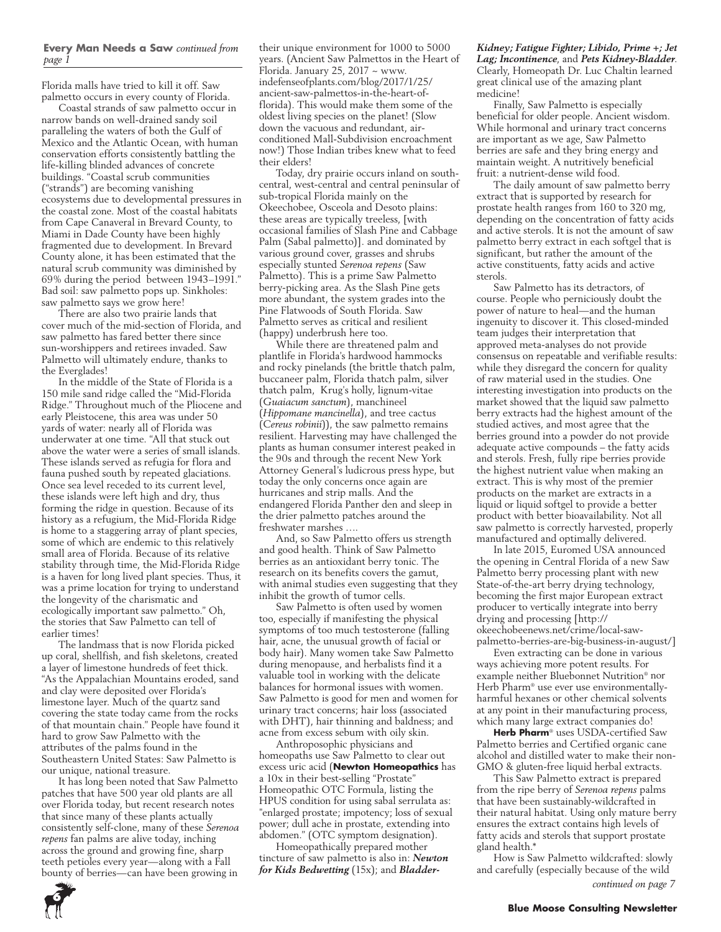### **Every Man Needs a Saw** *continued from page 1*

Florida malls have tried to kill it off. Saw palmetto occurs in every county of Florida.

Coastal strands of saw palmetto occur in narrow bands on well-drained sandy soil paralleling the waters of both the Gulf of Mexico and the Atlantic Ocean, with human conservation efforts consistently battling the life-killing blinded advances of concrete buildings. "Coastal scrub communities ("strands") are becoming vanishing ecosystems due to developmental pressures in the coastal zone. Most of the coastal habitats from Cape Canaveral in Brevard County, to Miami in Dade County have been highly fragmented due to development. In Brevard County alone, it has been estimated that the natural scrub community was diminished by 69% during the period between 1943–1991." Bad soil: saw palmetto pops up. Sinkholes: saw palmetto says we grow here!

There are also two prairie lands that cover much of the mid-section of Florida, and saw palmetto has fared better there since sun-worshippers and retirees invaded. Saw Palmetto will ultimately endure, thanks to the Everglades!

In the middle of the State of Florida is a 150 mile sand ridge called the "Mid-Florida Ridge." Throughout much of the Pliocene and early Pleistocene, this area was under 50 yards of water: nearly all of Florida was underwater at one time. "All that stuck out above the water were a series of small islands. These islands served as refugia for flora and fauna pushed south by repeated glaciations. Once sea level receded to its current level, these islands were left high and dry, thus forming the ridge in question. Because of its history as a refugium, the Mid-Florida Ridge is home to a staggering array of plant species, some of which are endemic to this relatively small area of Florida. Because of its relative stability through time, the Mid-Florida Ridge is a haven for long lived plant species. Thus, it was a prime location for trying to understand the longevity of the charismatic and ecologically important saw palmetto." Oh, the stories that Saw Palmetto can tell of earlier times!

The landmass that is now Florida picked up coral, shellfish, and fish skeletons, created a layer of limestone hundreds of feet thick. "As the Appalachian Mountains eroded, sand and clay were deposited over Florida's limestone layer. Much of the quartz sand covering the state today came from the rocks of that mountain chain." People have found it hard to grow Saw Palmetto with the attributes of the palms found in the Southeastern United States: Saw Palmetto is our unique, national treasure.

It has long been noted that Saw Palmetto patches that have 500 year old plants are all over Florida today, but recent research notes that since many of these plants actually consistently self-clone, many of these *Serenoa repens* fan palms are alive today, inching across the ground and growing fine, sharp teeth petioles every year—along with a Fall bounty of berries—can have been growing in

their unique environment for 1000 to 5000 years. (Ancient Saw Palmettos in the Heart of Florida. January 25, 2017  $\sim$  www. indefenseofplants.com/blog/2017/1/25/ ancient-saw-palmettos-in-the-heart-offlorida). This would make them some of the oldest living species on the planet! (Slow down the vacuous and redundant, airconditioned Mall-Subdivision encroachment now!) Those Indian tribes knew what to feed their elders!

Today, dry prairie occurs inland on southcentral, west-central and central peninsular of sub-tropical Florida mainly on the Okeechobee, Osceola and Desoto plains: these areas are typically treeless, [with occasional families of Slash Pine and Cabbage Palm (Sabal palmetto)]. and dominated by various ground cover, grasses and shrubs especially stunted *Serenoa repens* (Saw Palmetto). This is a prime Saw Palmetto berry-picking area. As the Slash Pine gets more abundant, the system grades into the Pine Flatwoods of South Florida. Saw Palmetto serves as critical and resilient (happy) underbrush here too.

While there are threatened palm and plantlife in Florida's hardwood hammocks and rocky pinelands (the brittle thatch palm, buccaneer palm, Florida thatch palm, silver thatch palm, Krug's holly, lignum-vitae (*Guaiacum sanctum*), manchineel (*Hippomane mancinella*), and tree cactus (*Cereus robinii*)), the saw palmetto remains resilient. Harvesting may have challenged the plants as human consumer interest peaked in the 90s and through the recent New York Attorney General's ludicrous press hype, but today the only concerns once again are hurricanes and strip malls. And the endangered Florida Panther den and sleep in the drier palmetto patches around the freshwater marshes ….

And, so Saw Palmetto offers us strength and good health. Think of Saw Palmetto berries as an antioxidant berry tonic. The research on its benefits covers the gamut, with animal studies even suggesting that they inhibit the growth of tumor cells.

Saw Palmetto is often used by women too, especially if manifesting the physical symptoms of too much testosterone (falling hair, acne, the unusual growth of facial or body hair). Many women take Saw Palmetto during menopause, and herbalists find it a valuable tool in working with the delicate balances for hormonal issues with women. Saw Palmetto is good for men and women for urinary tract concerns; hair loss (associated with DHT), hair thinning and baldness; and acne from excess sebum with oily skin.

Anthroposophic physicians and homeopaths use Saw Palmetto to clear out excess uric acid (**Newton Homeopathics** has a 10x in their best-selling "Prostate" Homeopathic OTC Formula, listing the HPUS condition for using sabal serrulata as: "enlarged prostate; impotency; loss of sexual power; dull ache in prostate, extending into abdomen." (OTC symptom designation).

Homeopathically prepared mother tincture of saw palmetto is also in: *Newton for Kids Bedwetting* (15x); and *Bladder-* *Kidney; Fatigue Fighter; Libido, Prime +; Jet Lag; Incontinence*, and *Pets Kidney-Bladder*. Clearly, Homeopath Dr. Luc Chaltin learned great clinical use of the amazing plant medicine!

Finally, Saw Palmetto is especially beneficial for older people. Ancient wisdom. While hormonal and urinary tract concerns are important as we age, Saw Palmetto berries are safe and they bring energy and maintain weight. A nutritively beneficial fruit: a nutrient-dense wild food.

The daily amount of saw palmetto berry extract that is supported by research for prostate health ranges from 160 to 320 mg, depending on the concentration of fatty acids and active sterols. It is not the amount of saw palmetto berry extract in each softgel that is significant, but rather the amount of the active constituents, fatty acids and active sterols.

Saw Palmetto has its detractors, of course. People who perniciously doubt the power of nature to heal—and the human ingenuity to discover it. This closed-minded team judges their interpretation that approved meta-analyses do not provide consensus on repeatable and verifiable results: while they disregard the concern for quality of raw material used in the studies. One interesting investigation into products on the market showed that the liquid saw palmetto berry extracts had the highest amount of the studied actives, and most agree that the berries ground into a powder do not provide adequate active compounds – the fatty acids and sterols. Fresh, fully ripe berries provide the highest nutrient value when making an extract. This is why most of the premier products on the market are extracts in a liquid or liquid softgel to provide a better product with better bioavailability. Not all saw palmetto is correctly harvested, properly manufactured and optimally delivered.

In late 2015, Euromed USA announced the opening in Central Florida of a new Saw Palmetto berry processing plant with new State-of-the-art berry drying technology, becoming the first major European extract producer to vertically integrate into berry drying and processing [http:// okeechobeenews.net/crime/local-sawpalmetto-berries-are-big-business-in-august/]

Even extracting can be done in various ways achieving more potent results. For example neither Bluebonnet Nutrition® nor Herb Pharm® use ever use environmentallyharmful hexanes or other chemical solvents at any point in their manufacturing process, which many large extract companies do!

**Herb Pharm**® uses USDA-certified Saw Palmetto berries and Certified organic cane alcohol and distilled water to make their non-GMO & gluten-free liquid herbal extracts.

This Saw Palmetto extract is prepared from the ripe berry of *Serenoa repens* palms that have been sustainably-wildcrafted in their natural habitat. Using only mature berry ensures the extract contains high levels of fatty acids and sterols that support prostate gland health.\*

How is Saw Palmetto wildcrafted: slowly and carefully (especially because of the wild



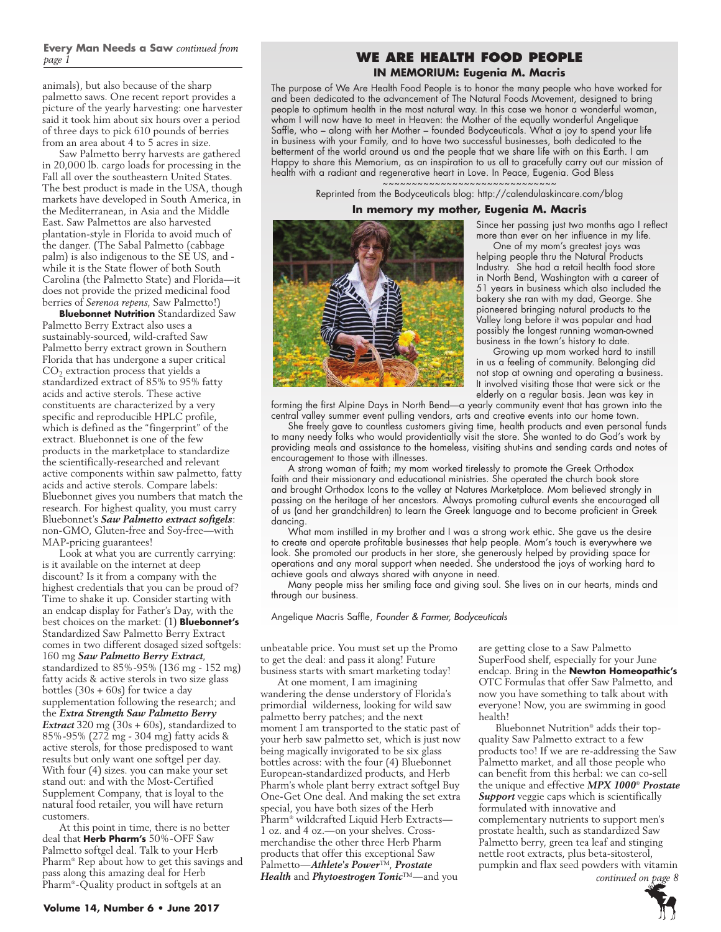### **Every Man Needs a Saw** *continued from page 1*

animals), but also because of the sharp palmetto saws. One recent report provides a picture of the yearly harvesting: one harvester said it took him about six hours over a period of three days to pick 610 pounds of berries from an area about 4 to 5 acres in size.

Saw Palmetto berry harvests are gathered in 20,000 lb. cargo loads for processing in the Fall all over the southeastern United States. The best product is made in the USA, though markets have developed in South America, in the Mediterranean, in Asia and the Middle East. Saw Palmettos are also harvested plantation-style in Florida to avoid much of the danger. (The Sabal Palmetto (cabbage palm) is also indigenous to the SE US, and while it is the State flower of both South Carolina (the Palmetto State) and Florida—it does not provide the prized medicinal food berries of *Serenoa repens*, Saw Palmetto!)

**Bluebonnet Nutrition** Standardized Saw Palmetto Berry Extract also uses a sustainably-sourced, wild-crafted Saw Palmetto berry extract grown in Southern Florida that has undergone a super critical  $CO<sub>2</sub>$  extraction process that yields a standardized extract of 85% to 95% fatty acids and active sterols. These active constituents are characterized by a very specific and reproducible HPLC profile, which is defined as the "fingerprint" of the extract. Bluebonnet is one of the few products in the marketplace to standardize the scientifically-researched and relevant active components within saw palmetto, fatty acids and active sterols. Compare labels: Bluebonnet gives you numbers that match the research. For highest quality, you must carry Bluebonnet's *Saw Palmetto extract softgels*: non-GMO, Gluten-free and Soy-free—with MAP-pricing guarantees!

Look at what you are currently carrying: is it available on the internet at deep discount? Is it from a company with the highest credentials that you can be proud of? Time to shake it up. Consider starting with an endcap display for Father's Day, with the best choices on the market: (1) **Bluebonnet's**  Standardized Saw Palmetto Berry Extract comes in two different dosaged sized softgels: 160 mg *Saw Palmetto Berry Extract*, standardized to 85%-95% (136 mg - 152 mg) fatty acids & active sterols in two size glass bottles  $(30s + 60s)$  for twice a day supplementation following the research; and the *Extra Strength Saw Palmetto Berry Extract* 320 mg (30s + 60s), standardized to 85%-95% (272 mg - 304 mg) fatty acids & active sterols, for those predisposed to want results but only want one softgel per day. With four (4) sizes. you can make your set stand out: and with the Most-Certified Supplement Company, that is loyal to the natural food retailer, you will have return customers.

At this point in time, there is no better deal that **Herb Pharm's** 50%-OFF Saw Palmetto softgel deal. Talk to your Herb Pharm® Rep about how to get this savings and pass along this amazing deal for Herb Pharm®-Quality product in softgels at an

### **We Are Health Food People IN MEMORIUM: Eugenia M. Macris**

The purpose of We Are Health Food People is to honor the many people who have worked for and been dedicated to the advancement of The Natural Foods Movement, designed to bring people to optimum health in the most natural way. In this case we honor a wonderful woman, whom I will now have to meet in Heaven: the Mother of the equally wonderful Angelique Saffle, who – along with her Mother – founded Bodyceuticals. What a joy to spend your life in business with your Family, and to have two successful businesses, both dedicated to the betterment of the world around us and the people that we share life with on this Earth. I am Happy to share this Memorium, as an inspiration to us all to gracefully carry out our mission of health with a radiant and regenerative heart in Love. In Peace, Eugenia. God Bless

> ~~~~~~~~~~~~~~~~~~~~~~~~~~~~<mark>~</mark> Reprinted from the Bodyceuticals blog: http://calendulaskincare.com/blog

### **In memory my mother, Eugenia M. Macris**



Industry. She had a retail health food store in North Bend, Washington with a career of 51 years in business which also included the bakery she ran with my dad, George. She pioneered bringing natural products to the Valley long before it was popular and had possibly the longest running woman-owned business in the town's history to date.

Growing up mom worked hard to instill in us a feeling of community. Belonging did not stop at owning and operating a business. It involved visiting those that were sick or the elderly on a regular basis. Jean was key in

forming the first Alpine Days in North Bend—a yearly community event that has grown into the central valley summer event pulling vendors, arts and creative events into our home town.

She freely gave to countless customers giving time, health products and even personal funds to many needy folks who would providentially visit the store. She wanted to do God's work by providing meals and assistance to the homeless, visiting shut-ins and sending cards and notes of encouragement to those with illnesses.

A strong woman of faith; my mom worked tirelessly to promote the Greek Orthodox faith and their missionary and educational ministries. She operated the church book store and brought Orthodox Icons to the valley at Natures Marketplace. Mom believed strongly in passing on the heritage of her ancestors. Always promoting cultural events she encouraged all of us (and her grandchildren) to learn the Greek language and to become proficient in Greek dancing.

What mom instilled in my brother and I was a strong work ethic. She gave us the desire to create and operate profitable businesses that help people. Mom's touch is everywhere we look. She promoted our products in her store, she generously helped by providing space for operations and any moral support when needed. She understood the joys of working hard to achieve goals and always shared with anyone in need.

Many people miss her smiling face and giving soul. She lives on in our hearts, minds and through our business.

Angelique Macris Saffle, *Founder & Farmer, Bodyceuticals*

unbeatable price. You must set up the Promo to get the deal: and pass it along! Future business starts with smart marketing today!

At one moment, I am imagining wandering the dense understory of Florida's primordial wilderness, looking for wild saw palmetto berry patches; and the next moment I am transported to the static past of your herb saw palmetto set, which is just now being magically invigorated to be six glass bottles across: with the four (4) Bluebonnet European-standardized products, and Herb Pharm's whole plant berry extract softgel Buy One-Get One deal. And making the set extra special, you have both sizes of the Herb Pharm® wildcrafted Liquid Herb Extracts— 1 oz. and 4 oz.—on your shelves. Crossmerchandise the other three Herb Pharm products that offer this exceptional Saw Palmetto—*Athlete's Power*™, *Prostate Health* and *Phytoestrogen Tonic*™—and you

are getting close to a Saw Palmetto SuperFood shelf, especially for your June endcap. Bring in the **Newton Homeopathic's**  OTC Formulas that offer Saw Palmetto, and now you have something to talk about with everyone! Now, you are swimming in good health!

Bluebonnet Nutrition® adds their topquality Saw Palmetto extract to a few products too! If we are re-addressing the Saw Palmetto market, and all those people who can benefit from this herbal: we can co-sell the unique and effective *MPX 1000*® *Prostate Support* veggie caps which is scientifically formulated with innovative and complementary nutrients to support men's prostate health, such as standardized Saw Palmetto berry, green tea leaf and stinging nettle root extracts, plus beta-sitosterol, pumpkin and flax seed powders with vitamin *continued on page 8*